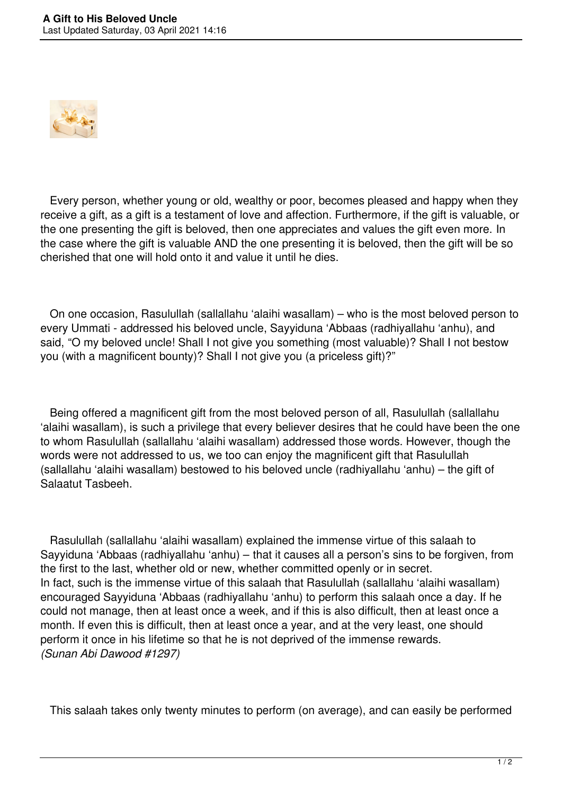

 Every person, whether young or old, wealthy or poor, becomes pleased and happy when they receive a gift, as a gift is a testament of love and affection. Furthermore, if the gift is valuable, or the one presenting the gift is beloved, then one appreciates and values the gift even more. In the case where the gift is valuable AND the one presenting it is beloved, then the gift will be so cherished that one will hold onto it and value it until he dies.

 On one occasion, Rasulullah (sallallahu 'alaihi wasallam) – who is the most beloved person to every Ummati - addressed his beloved uncle, Sayyiduna 'Abbaas (radhiyallahu 'anhu), and said, "O my beloved uncle! Shall I not give you something (most valuable)? Shall I not bestow you (with a magnificent bounty)? Shall I not give you (a priceless gift)?"

 Being offered a magnificent gift from the most beloved person of all, Rasulullah (sallallahu 'alaihi wasallam), is such a privilege that every believer desires that he could have been the one to whom Rasulullah (sallallahu 'alaihi wasallam) addressed those words. However, though the words were not addressed to us, we too can enjoy the magnificent gift that Rasulullah (sallallahu 'alaihi wasallam) bestowed to his beloved uncle (radhiyallahu 'anhu) – the gift of Salaatut Tasbeeh.

 Rasulullah (sallallahu 'alaihi wasallam) explained the immense virtue of this salaah to Sayyiduna 'Abbaas (radhiyallahu 'anhu) – that it causes all a person's sins to be forgiven, from the first to the last, whether old or new, whether committed openly or in secret. In fact, such is the immense virtue of this salaah that Rasulullah (sallallahu 'alaihi wasallam) encouraged Sayyiduna 'Abbaas (radhiyallahu 'anhu) to perform this salaah once a day. If he could not manage, then at least once a week, and if this is also difficult, then at least once a month. If even this is difficult, then at least once a year, and at the very least, one should perform it once in his lifetime so that he is not deprived of the immense rewards. *(Sunan Abi Dawood #1297)*

This salaah takes only twenty minutes to perform (on average), and can easily be performed